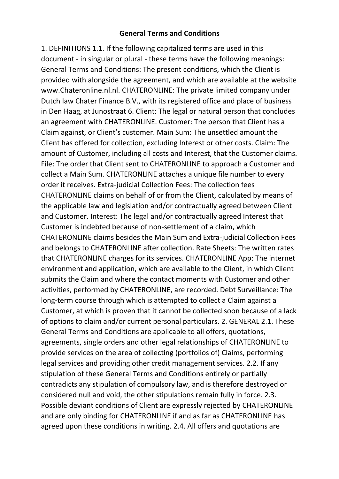## **General Terms and Conditions**

1. DEFINITIONS 1.1. If the following capitalized terms are used in this document - in singular or plural - these terms have the following meanings: General Terms and Conditions: The present conditions, which the Client is provided with alongside the agreement, and which are available at the website www.Chateronline.nl.nl. CHATERONLINE: The private limited company under Dutch law Chater Finance B.V., with its registered office and place of business in Den Haag, at Junostraat 6. Client: The legal or natural person that concludes an agreement with CHATERONLINE. Customer: The person that Client has a Claim against, or Client's customer. Main Sum: The unsettled amount the Client has offered for collection, excluding Interest or other costs. Claim: The amount of Customer, including all costs and Interest, that the Customer claims. File: The order that Client sent to CHATERONLINE to approach a Customer and collect a Main Sum. CHATERONLINE attaches a unique file number to every order it receives. Extra-judicial Collection Fees: The collection fees CHATERONLINE claims on behalf of or from the Client, calculated by means of the applicable law and legislation and/or contractually agreed between Client and Customer. Interest: The legal and/or contractually agreed Interest that Customer is indebted because of non-settlement of a claim, which CHATERONLINE claims besides the Main Sum and Extra-judicial Collection Fees and belongs to CHATERONLINE after collection. Rate Sheets: The written rates that CHATERONLINE charges for its services. CHATERONLINE App: The internet environment and application, which are available to the Client, in which Client submits the Claim and where the contact moments with Customer and other activities, performed by CHATERONLINE, are recorded. Debt Surveillance: The long-term course through which is attempted to collect a Claim against a Customer, at which is proven that it cannot be collected soon because of a lack of options to claim and/or current personal particulars. 2. GENERAL 2.1. These General Terms and Conditions are applicable to all offers, quotations, agreements, single orders and other legal relationships of CHATERONLINE to provide services on the area of collecting (portfolios of) Claims, performing legal services and providing other credit management services. 2.2. If any stipulation of these General Terms and Conditions entirely or partially contradicts any stipulation of compulsory law, and is therefore destroyed or considered null and void, the other stipulations remain fully in force. 2.3. Possible deviant conditions of Client are expressly rejected by CHATERONLINE and are only binding for CHATERONLINE if and as far as CHATERONLINE has agreed upon these conditions in writing. 2.4. All offers and quotations are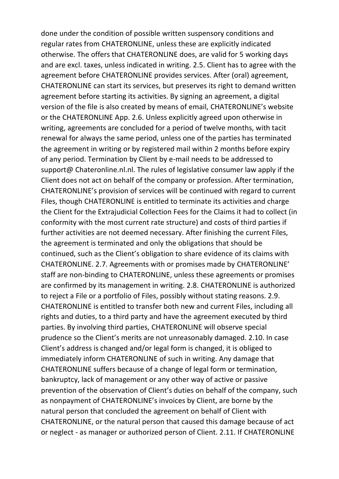done under the condition of possible written suspensory conditions and regular rates from CHATERONLINE, unless these are explicitly indicated otherwise. The offers that CHATERONLINE does, are valid for 5 working days and are excl. taxes, unless indicated in writing. 2.5. Client has to agree with the agreement before CHATERONLINE provides services. After (oral) agreement, CHATERONLINE can start its services, but preserves its right to demand written agreement before starting its activities. By signing an agreement, a digital version of the file is also created by means of email, CHATERONLINE's website or the CHATERONLINE App. 2.6. Unless explicitly agreed upon otherwise in writing, agreements are concluded for a period of twelve months, with tacit renewal for always the same period, unless one of the parties has terminated the agreement in writing or by registered mail within 2 months before expiry of any period. Termination by Client by e-mail needs to be addressed to support@ Chateronline.nl.nl. The rules of legislative consumer law apply if the Client does not act on behalf of the company or profession. After termination, CHATERONLINE's provision of services will be continued with regard to current Files, though CHATERONLINE is entitled to terminate its activities and charge the Client for the Extrajudicial Collection Fees for the Claims it had to collect (in conformity with the most current rate structure) and costs of third parties if further activities are not deemed necessary. After finishing the current Files, the agreement is terminated and only the obligations that should be continued, such as the Client's obligation to share evidence of its claims with CHATERONLINE. 2.7. Agreements with or promises made by CHATERONLINE' staff are non-binding to CHATERONLINE, unless these agreements or promises are confirmed by its management in writing. 2.8. CHATERONLINE is authorized to reject a File or a portfolio of Files, possibly without stating reasons. 2.9. CHATERONLINE is entitled to transfer both new and current Files, including all rights and duties, to a third party and have the agreement executed by third parties. By involving third parties, CHATERONLINE will observe special prudence so the Client's merits are not unreasonably damaged. 2.10. In case Client's address is changed and/or legal form is changed, it is obliged to immediately inform CHATERONLINE of such in writing. Any damage that CHATERONLINE suffers because of a change of legal form or termination, bankruptcy, lack of management or any other way of active or passive prevention of the observation of Client's duties on behalf of the company, such as nonpayment of CHATERONLINE's invoices by Client, are borne by the natural person that concluded the agreement on behalf of Client with CHATERONLINE, or the natural person that caused this damage because of act or neglect - as manager or authorized person of Client. 2.11. If CHATERONLINE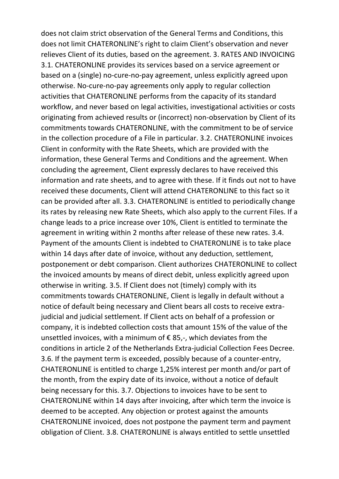does not claim strict observation of the General Terms and Conditions, this does not limit CHATERONLINE's right to claim Client's observation and never relieves Client of its duties, based on the agreement. 3. RATES AND INVOICING 3.1. CHATERONLINE provides its services based on a service agreement or based on a (single) no-cure-no-pay agreement, unless explicitly agreed upon otherwise. No-cure-no-pay agreements only apply to regular collection activities that CHATERONLINE performs from the capacity of its standard workflow, and never based on legal activities, investigational activities or costs originating from achieved results or (incorrect) non-observation by Client of its commitments towards CHATERONLINE, with the commitment to be of service in the collection procedure of a File in particular. 3.2. CHATERONLINE invoices Client in conformity with the Rate Sheets, which are provided with the information, these General Terms and Conditions and the agreement. When concluding the agreement, Client expressly declares to have received this information and rate sheets, and to agree with these. If it finds out not to have received these documents, Client will attend CHATERONLINE to this fact so it can be provided after all. 3.3. CHATERONLINE is entitled to periodically change its rates by releasing new Rate Sheets, which also apply to the current Files. If a change leads to a price increase over 10%, Client is entitled to terminate the agreement in writing within 2 months after release of these new rates. 3.4. Payment of the amounts Client is indebted to CHATERONLINE is to take place within 14 days after date of invoice, without any deduction, settlement, postponement or debt comparison. Client authorizes CHATERONLINE to collect the invoiced amounts by means of direct debit, unless explicitly agreed upon otherwise in writing. 3.5. If Client does not (timely) comply with its commitments towards CHATERONLINE, Client is legally in default without a notice of default being necessary and Client bears all costs to receive extrajudicial and judicial settlement. If Client acts on behalf of a profession or company, it is indebted collection costs that amount 15% of the value of the unsettled invoices, with a minimum of  $\epsilon$  85,-, which deviates from the conditions in article 2 of the Netherlands Extra-judicial Collection Fees Decree. 3.6. If the payment term is exceeded, possibly because of a counter-entry, CHATERONLINE is entitled to charge 1,25% interest per month and/or part of the month, from the expiry date of its invoice, without a notice of default being necessary for this. 3.7. Objections to invoices have to be sent to CHATERONLINE within 14 days after invoicing, after which term the invoice is deemed to be accepted. Any objection or protest against the amounts CHATERONLINE invoiced, does not postpone the payment term and payment obligation of Client. 3.8. CHATERONLINE is always entitled to settle unsettled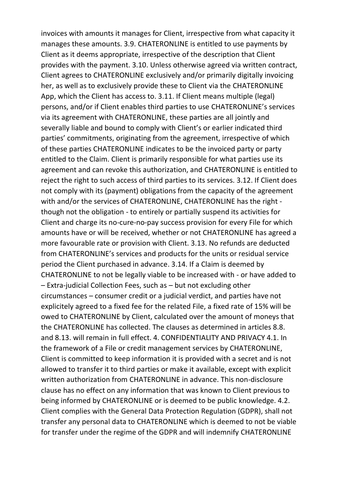invoices with amounts it manages for Client, irrespective from what capacity it manages these amounts. 3.9. CHATERONLINE is entitled to use payments by Client as it deems appropriate, irrespective of the description that Client provides with the payment. 3.10. Unless otherwise agreed via written contract, Client agrees to CHATERONLINE exclusively and/or primarily digitally invoicing her, as well as to exclusively provide these to Client via the CHATERONLINE App, which the Client has access to. 3.11. If Client means multiple (legal) persons, and/or if Client enables third parties to use CHATERONLINE's services via its agreement with CHATERONLINE, these parties are all jointly and severally liable and bound to comply with Client's or earlier indicated third parties' commitments, originating from the agreement, irrespective of which of these parties CHATERONLINE indicates to be the invoiced party or party entitled to the Claim. Client is primarily responsible for what parties use its agreement and can revoke this authorization, and CHATERONLINE is entitled to reject the right to such access of third parties to its services. 3.12. If Client does not comply with its (payment) obligations from the capacity of the agreement with and/or the services of CHATERONLINE, CHATERONLINE has the right though not the obligation - to entirely or partially suspend its activities for Client and charge its no-cure-no-pay success provision for every File for which amounts have or will be received, whether or not CHATERONLINE has agreed a more favourable rate or provision with Client. 3.13. No refunds are deducted from CHATERONLINE's services and products for the units or residual service period the Client purchased in advance. 3.14. If a Claim is deemed by CHATERONLINE to not be legally viable to be increased with - or have added to – Extra-judicial Collection Fees, such as – but not excluding other circumstances – consumer credit or a judicial verdict, and parties have not explicitely agreed to a fixed fee for the related File, a fixed rate of 15% will be owed to CHATERONLINE by Client, calculated over the amount of moneys that the CHATERONLINE has collected. The clauses as determined in articles 8.8. and 8.13. will remain in full effect. 4. CONFIDENTIALITY AND PRIVACY 4.1. In the framework of a File or credit management services by CHATERONLINE, Client is committed to keep information it is provided with a secret and is not allowed to transfer it to third parties or make it available, except with explicit written authorization from CHATERONLINE in advance. This non-disclosure clause has no effect on any information that was known to Client previous to being informed by CHATERONLINE or is deemed to be public knowledge. 4.2. Client complies with the General Data Protection Regulation (GDPR), shall not transfer any personal data to CHATERONLINE which is deemed to not be viable for transfer under the regime of the GDPR and will indemnify CHATERONLINE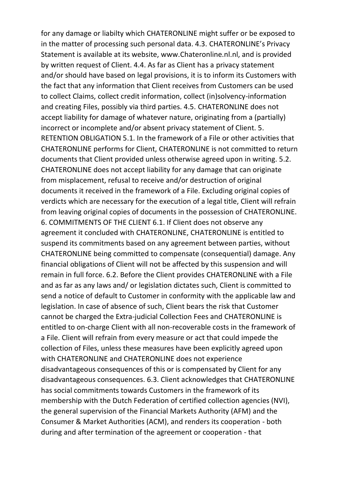for any damage or liabilty which CHATERONLINE might suffer or be exposed to in the matter of processing such personal data. 4.3. CHATERONLINE's Privacy Statement is available at its website, www.Chateronline.nl.nl, and is provided by written request of Client. 4.4. As far as Client has a privacy statement and/or should have based on legal provisions, it is to inform its Customers with the fact that any information that Client receives from Customers can be used to collect Claims, collect credit information, collect (in)solvency-information and creating Files, possibly via third parties. 4.5. CHATERONLINE does not accept liability for damage of whatever nature, originating from a (partially) incorrect or incomplete and/or absent privacy statement of Client. 5. RETENTION OBLIGATION 5.1. In the framework of a File or other activities that CHATERONLINE performs for Client, CHATERONLINE is not committed to return documents that Client provided unless otherwise agreed upon in writing. 5.2. CHATERONLINE does not accept liability for any damage that can originate from misplacement, refusal to receive and/or destruction of original documents it received in the framework of a File. Excluding original copies of verdicts which are necessary for the execution of a legal title, Client will refrain from leaving original copies of documents in the possession of CHATERONLINE. 6. COMMITMENTS OF THE CLIENT 6.1. If Client does not observe any agreement it concluded with CHATERONLINE, CHATERONLINE is entitled to suspend its commitments based on any agreement between parties, without CHATERONLINE being committed to compensate (consequential) damage. Any financial obligations of Client will not be affected by this suspension and will remain in full force. 6.2. Before the Client provides CHATERONLINE with a File and as far as any laws and/ or legislation dictates such, Client is committed to send a notice of default to Customer in conformity with the applicable law and legislation. In case of absence of such, Client bears the risk that Customer cannot be charged the Extra-judicial Collection Fees and CHATERONLINE is entitled to on-charge Client with all non-recoverable costs in the framework of a File. Client will refrain from every measure or act that could impede the collection of Files, unless these measures have been explicitly agreed upon with CHATERONLINE and CHATERONLINE does not experience disadvantageous consequences of this or is compensated by Client for any disadvantageous consequences. 6.3. Client acknowledges that CHATERONLINE has social commitments towards Customers in the framework of its membership with the Dutch Federation of certified collection agencies (NVI), the general supervision of the Financial Markets Authority (AFM) and the Consumer & Market Authorities (ACM), and renders its cooperation - both during and after termination of the agreement or cooperation - that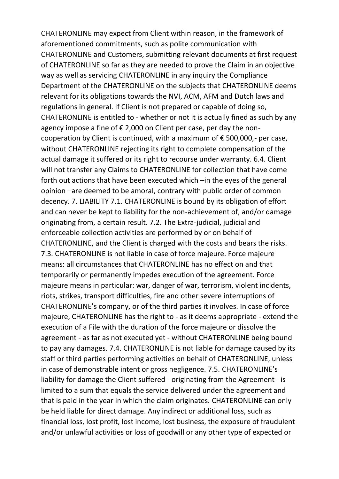CHATERONLINE may expect from Client within reason, in the framework of aforementioned commitments, such as polite communication with CHATERONLINE and Customers, submitting relevant documents at first request of CHATERONLINE so far as they are needed to prove the Claim in an objective way as well as servicing CHATERONLINE in any inquiry the Compliance Department of the CHATERONLINE on the subjects that CHATERONLINE deems relevant for its obligations towards the NVI, ACM, AFM and Dutch laws and regulations in general. If Client is not prepared or capable of doing so, CHATERONLINE is entitled to - whether or not it is actually fined as such by any agency impose a fine of  $\epsilon$  2,000 on Client per case, per day the noncooperation by Client is continued, with a maximum of  $\epsilon$  500,000,- per case, without CHATERONLINE rejecting its right to complete compensation of the actual damage it suffered or its right to recourse under warranty. 6.4. Client will not transfer any Claims to CHATERONLINE for collection that have come forth out actions that have been executed which –in the eyes of the general opinion –are deemed to be amoral, contrary with public order of common decency. 7. LIABILITY 7.1. CHATERONLINE is bound by its obligation of effort and can never be kept to liability for the non-achievement of, and/or damage originating from, a certain result. 7.2. The Extra-judicial, judicial and enforceable collection activities are performed by or on behalf of CHATERONLINE, and the Client is charged with the costs and bears the risks. 7.3. CHATERONLINE is not liable in case of force majeure. Force majeure means: all circumstances that CHATERONLINE has no effect on and that temporarily or permanently impedes execution of the agreement. Force majeure means in particular: war, danger of war, terrorism, violent incidents, riots, strikes, transport difficulties, fire and other severe interruptions of CHATERONLINE's company, or of the third parties it involves. In case of force majeure, CHATERONLINE has the right to - as it deems appropriate - extend the execution of a File with the duration of the force majeure or dissolve the agreement - as far as not executed yet - without CHATERONLINE being bound to pay any damages. 7.4. CHATERONLINE is not liable for damage caused by its staff or third parties performing activities on behalf of CHATERONLINE, unless in case of demonstrable intent or gross negligence. 7.5. CHATERONLINE's liability for damage the Client suffered - originating from the Agreement - is limited to a sum that equals the service delivered under the agreement and that is paid in the year in which the claim originates. CHATERONLINE can only be held liable for direct damage. Any indirect or additional loss, such as financial loss, lost profit, lost income, lost business, the exposure of fraudulent and/or unlawful activities or loss of goodwill or any other type of expected or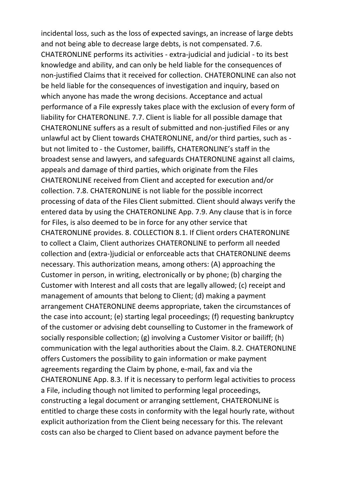incidental loss, such as the loss of expected savings, an increase of large debts and not being able to decrease large debts, is not compensated. 7.6. CHATERONLINE performs its activities - extra-judicial and judicial - to its best knowledge and ability, and can only be held liable for the consequences of non-justified Claims that it received for collection. CHATERONLINE can also not be held liable for the consequences of investigation and inquiry, based on which anyone has made the wrong decisions. Acceptance and actual performance of a File expressly takes place with the exclusion of every form of liability for CHATERONLINE. 7.7. Client is liable for all possible damage that CHATERONLINE suffers as a result of submitted and non-justified Files or any unlawful act by Client towards CHATERONLINE, and/or third parties, such as but not limited to - the Customer, bailiffs, CHATERONLINE's staff in the broadest sense and lawyers, and safeguards CHATERONLINE against all claims, appeals and damage of third parties, which originate from the Files CHATERONLINE received from Client and accepted for execution and/or collection. 7.8. CHATERONLINE is not liable for the possible incorrect processing of data of the Files Client submitted. Client should always verify the entered data by using the CHATERONLINE App. 7.9. Any clause that is in force for Files, is also deemed to be in force for any other service that CHATERONLINE provides. 8. COLLECTION 8.1. If Client orders CHATERONLINE to collect a Claim, Client authorizes CHATERONLINE to perform all needed collection and (extra-)judicial or enforceable acts that CHATERONLINE deems necessary. This authorization means, among others: (A) approaching the Customer in person, in writing, electronically or by phone; (b) charging the Customer with Interest and all costs that are legally allowed; (c) receipt and management of amounts that belong to Client; (d) making a payment arrangement CHATERONLINE deems appropriate, taken the circumstances of the case into account; (e) starting legal proceedings; (f) requesting bankruptcy of the customer or advising debt counselling to Customer in the framework of socially responsible collection; (g) involving a Customer Visitor or bailiff; (h) communication with the legal authorities about the Claim. 8.2. CHATERONLINE offers Customers the possibility to gain information or make payment agreements regarding the Claim by phone, e-mail, fax and via the CHATERONLINE App. 8.3. If it is necessary to perform legal activities to process a File, including though not limited to performing legal proceedings, constructing a legal document or arranging settlement, CHATERONLINE is entitled to charge these costs in conformity with the legal hourly rate, without explicit authorization from the Client being necessary for this. The relevant costs can also be charged to Client based on advance payment before the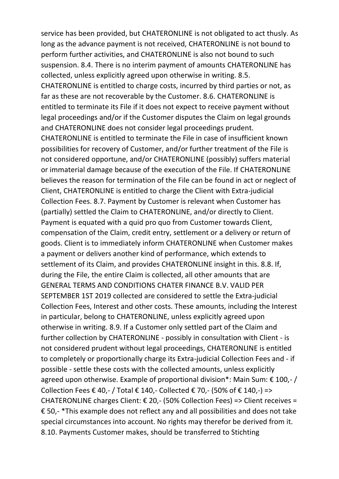service has been provided, but CHATERONLINE is not obligated to act thusly. As long as the advance payment is not received, CHATERONLINE is not bound to perform further activities, and CHATERONLINE is also not bound to such suspension. 8.4. There is no interim payment of amounts CHATERONLINE has collected, unless explicitly agreed upon otherwise in writing. 8.5. CHATERONLINE is entitled to charge costs, incurred by third parties or not, as far as these are not recoverable by the Customer. 8.6. CHATERONLINE is entitled to terminate its File if it does not expect to receive payment without legal proceedings and/or if the Customer disputes the Claim on legal grounds and CHATERONLINE does not consider legal proceedings prudent. CHATERONLINE is entitled to terminate the File in case of insufficient known possibilities for recovery of Customer, and/or further treatment of the File is not considered opportune, and/or CHATERONLINE (possibly) suffers material or immaterial damage because of the execution of the File. If CHATERONLINE believes the reason for termination of the File can be found in act or neglect of Client, CHATERONLINE is entitled to charge the Client with Extra-judicial Collection Fees. 8.7. Payment by Customer is relevant when Customer has (partially) settled the Claim to CHATERONLINE, and/or directly to Client. Payment is equated with a quid pro quo from Customer towards Client, compensation of the Claim, credit entry, settlement or a delivery or return of goods. Client is to immediately inform CHATERONLINE when Customer makes a payment or delivers another kind of performance, which extends to settlement of its Claim, and provides CHATERONLINE insight in this. 8.8. If, during the File, the entire Claim is collected, all other amounts that are GENERAL TERMS AND CONDITIONS CHATER FINANCE B.V. VALID PER SEPTEMBER 1ST 2019 collected are considered to settle the Extra-judicial Collection Fees, Interest and other costs. These amounts, including the Interest in particular, belong to CHATERONLINE, unless explicitly agreed upon otherwise in writing. 8.9. If a Customer only settled part of the Claim and further collection by CHATERONLINE - possibly in consultation with Client - is not considered prudent without legal proceedings, CHATERONLINE is entitled to completely or proportionally charge its Extra-judicial Collection Fees and - if possible - settle these costs with the collected amounts, unless explicitly agreed upon otherwise. Example of proportional division\*: Main Sum: € 100,- / Collection Fees € 40,- / Total € 140,- Collected € 70,- (50% of € 140,-) => CHATERONLINE charges Client:  $\epsilon$  20,- (50% Collection Fees) => Client receives = € 50,- \*This example does not reflect any and all possibilities and does not take special circumstances into account. No rights may therefor be derived from it. 8.10. Payments Customer makes, should be transferred to Stichting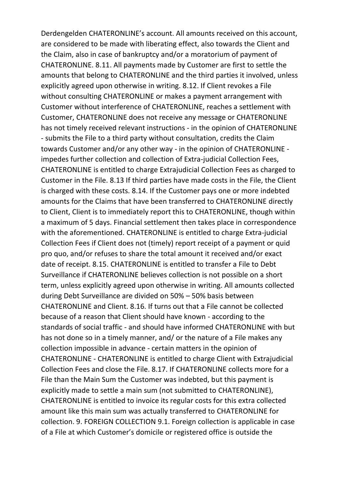Derdengelden CHATERONLINE's account. All amounts received on this account, are considered to be made with liberating effect, also towards the Client and the Claim, also in case of bankruptcy and/or a moratorium of payment of CHATERONLINE. 8.11. All payments made by Customer are first to settle the amounts that belong to CHATERONLINE and the third parties it involved, unless explicitly agreed upon otherwise in writing. 8.12. If Client revokes a File without consulting CHATERONLINE or makes a payment arrangement with Customer without interference of CHATERONLINE, reaches a settlement with Customer, CHATERONLINE does not receive any message or CHATERONLINE has not timely received relevant instructions - in the opinion of CHATERONLINE - submits the File to a third party without consultation, credits the Claim towards Customer and/or any other way - in the opinion of CHATERONLINE impedes further collection and collection of Extra-judicial Collection Fees, CHATERONLINE is entitled to charge Extrajudicial Collection Fees as charged to Customer in the File. 8.13 If third parties have made costs in the File, the Client is charged with these costs. 8.14. If the Customer pays one or more indebted amounts for the Claims that have been transferred to CHATERONLINE directly to Client, Client is to immediately report this to CHATERONLINE, though within a maximum of 5 days. Financial settlement then takes place in correspondence with the aforementioned. CHATERONLINE is entitled to charge Extra-judicial Collection Fees if Client does not (timely) report receipt of a payment or quid pro quo, and/or refuses to share the total amount it received and/or exact date of receipt. 8.15. CHATERONLINE is entitled to transfer a File to Debt Surveillance if CHATERONLINE believes collection is not possible on a short term, unless explicitly agreed upon otherwise in writing. All amounts collected during Debt Surveillance are divided on 50% – 50% basis between CHATERONLINE and Client. 8.16. If turns out that a File cannot be collected because of a reason that Client should have known - according to the standards of social traffic - and should have informed CHATERONLINE with but has not done so in a timely manner, and/ or the nature of a File makes any collection impossible in advance - certain matters in the opinion of CHATERONLINE - CHATERONLINE is entitled to charge Client with Extrajudicial Collection Fees and close the File. 8.17. If CHATERONLINE collects more for a File than the Main Sum the Customer was indebted, but this payment is explicitly made to settle a main sum (not submitted to CHATERONLINE), CHATERONLINE is entitled to invoice its regular costs for this extra collected amount like this main sum was actually transferred to CHATERONLINE for collection. 9. FOREIGN COLLECTION 9.1. Foreign collection is applicable in case of a File at which Customer's domicile or registered office is outside the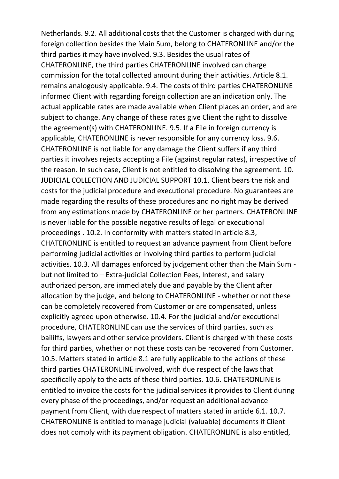Netherlands. 9.2. All additional costs that the Customer is charged with during foreign collection besides the Main Sum, belong to CHATERONLINE and/or the third parties it may have involved. 9.3. Besides the usual rates of CHATERONLINE, the third parties CHATERONLINE involved can charge commission for the total collected amount during their activities. Article 8.1. remains analogously applicable. 9.4. The costs of third parties CHATERONLINE informed Client with regarding foreign collection are an indication only. The actual applicable rates are made available when Client places an order, and are subject to change. Any change of these rates give Client the right to dissolve the agreement(s) with CHATERONLINE. 9.5. If a File in foreign currency is applicable, CHATERONLINE is never responsible for any currency loss. 9.6. CHATERONLINE is not liable for any damage the Client suffers if any third parties it involves rejects accepting a File (against regular rates), irrespective of the reason. In such case, Client is not entitled to dissolving the agreement. 10. JUDICIAL COLLECTION AND JUDICIAL SUPPORT 10.1. Client bears the risk and costs for the judicial procedure and executional procedure. No guarantees are made regarding the results of these procedures and no right may be derived from any estimations made by CHATERONLINE or her partners. CHATERONLINE is never liable for the possible negative results of legal or executional proceedings . 10.2. In conformity with matters stated in article 8.3, CHATERONLINE is entitled to request an advance payment from Client before performing judicial activities or involving third parties to perform judicial activities. 10.3. All damages enforced by judgement other than the Main Sum but not limited to – Extra-judicial Collection Fees, Interest, and salary authorized person, are immediately due and payable by the Client after allocation by the judge, and belong to CHATERONLINE - whether or not these can be completely recovered from Customer or are compensated, unless explicitly agreed upon otherwise. 10.4. For the judicial and/or executional procedure, CHATERONLINE can use the services of third parties, such as bailiffs, lawyers and other service providers. Client is charged with these costs for third parties, whether or not these costs can be recovered from Customer. 10.5. Matters stated in article 8.1 are fully applicable to the actions of these third parties CHATERONLINE involved, with due respect of the laws that specifically apply to the acts of these third parties. 10.6. CHATERONLINE is entitled to invoice the costs for the judicial services it provides to Client during every phase of the proceedings, and/or request an additional advance payment from Client, with due respect of matters stated in article 6.1. 10.7. CHATERONLINE is entitled to manage judicial (valuable) documents if Client does not comply with its payment obligation. CHATERONLINE is also entitled,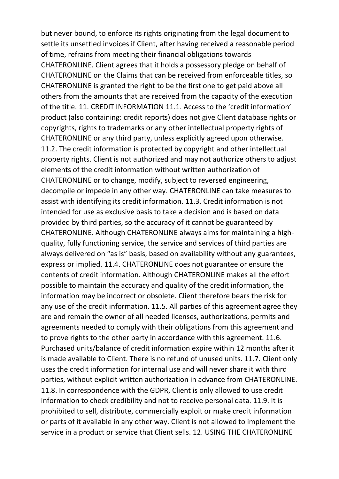but never bound, to enforce its rights originating from the legal document to settle its unsettled invoices if Client, after having received a reasonable period of time, refrains from meeting their financial obligations towards CHATERONLINE. Client agrees that it holds a possessory pledge on behalf of CHATERONLINE on the Claims that can be received from enforceable titles, so CHATERONLINE is granted the right to be the first one to get paid above all others from the amounts that are received from the capacity of the execution of the title. 11. CREDIT INFORMATION 11.1. Access to the 'credit information' product (also containing: credit reports) does not give Client database rights or copyrights, rights to trademarks or any other intellectual property rights of CHATERONLINE or any third party, unless explicitly agreed upon otherwise. 11.2. The credit information is protected by copyright and other intellectual property rights. Client is not authorized and may not authorize others to adjust elements of the credit information without written authorization of CHATERONLINE or to change, modify, subject to reversed engineering, decompile or impede in any other way. CHATERONLINE can take measures to assist with identifying its credit information. 11.3. Credit information is not intended for use as exclusive basis to take a decision and is based on data provided by third parties, so the accuracy of it cannot be guaranteed by CHATERONLINE. Although CHATERONLINE always aims for maintaining a highquality, fully functioning service, the service and services of third parties are always delivered on "as is" basis, based on availability without any guarantees, express or implied. 11.4. CHATERONLINE does not guarantee or ensure the contents of credit information. Although CHATERONLINE makes all the effort possible to maintain the accuracy and quality of the credit information, the information may be incorrect or obsolete. Client therefore bears the risk for any use of the credit information. 11.5. All parties of this agreement agree they are and remain the owner of all needed licenses, authorizations, permits and agreements needed to comply with their obligations from this agreement and to prove rights to the other party in accordance with this agreement. 11.6. Purchased units/balance of credit information expire within 12 months after it is made available to Client. There is no refund of unused units. 11.7. Client only uses the credit information for internal use and will never share it with third parties, without explicit written authorization in advance from CHATERONLINE. 11.8. In correspondence with the GDPR, Client is only allowed to use credit information to check credibility and not to receive personal data. 11.9. It is prohibited to sell, distribute, commercially exploit or make credit information or parts of it available in any other way. Client is not allowed to implement the service in a product or service that Client sells. 12. USING THE CHATERONLINE